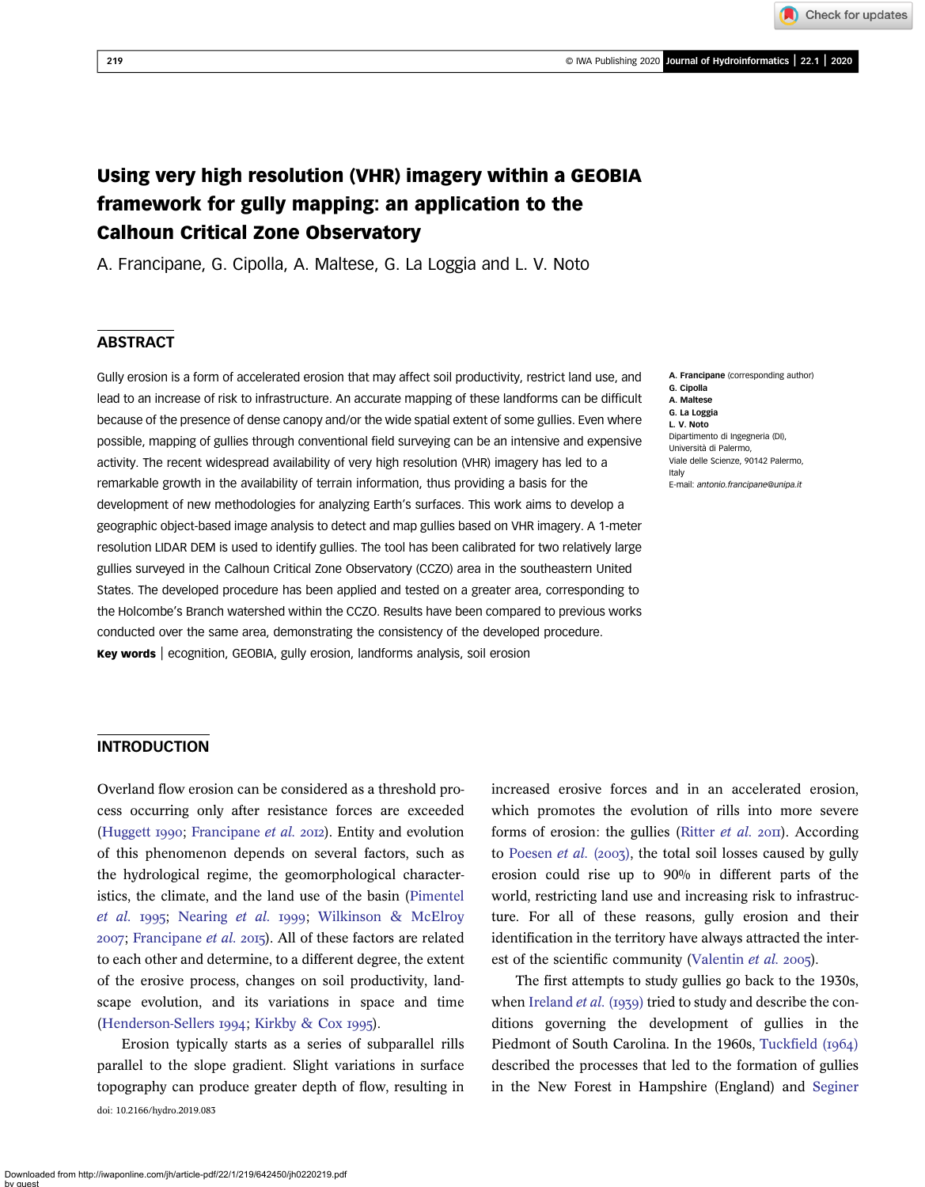Check for updates

# Using very high resolution (VHR) imagery within a GEOBIA framework for gully mapping: an application to the Calhoun Critical Zone Observatory

A. Francipane, G. Cipolla, A. Maltese, G. La Loggia and L. V. Noto

# **ABSTRACT**

Gully erosion is a form of accelerated erosion that may affect soil productivity, restrict land use, and lead to an increase of risk to infrastructure. An accurate mapping of these landforms can be difficult because of the presence of dense canopy and/or the wide spatial extent of some gullies. Even where possible, mapping of gullies through conventional field surveying can be an intensive and expensive activity. The recent widespread availability of very high resolution (VHR) imagery has led to a remarkable growth in the availability of terrain information, thus providing a basis for the development of new methodologies for analyzing Earth's surfaces. This work aims to develop a geographic object-based image analysis to detect and map gullies based on VHR imagery. A 1-meter resolution LIDAR DEM is used to identify gullies. The tool has been calibrated for two relatively large gullies surveyed in the Calhoun Critical Zone Observatory (CCZO) area in the southeastern United States. The developed procedure has been applied and tested on a greater area, corresponding to the Holcombe's Branch watershed within the CCZO. Results have been compared to previous works conducted over the same area, demonstrating the consistency of the developed procedure. Key words | ecognition, GEOBIA, gully erosion, landforms analysis, soil erosion

A. Francipane (corresponding author) G. Cipolla A. Maltese G. La Loggia L. V. Noto Dipartimento di Ingegneria (DI), Università di Palermo, Viale delle Scienze, 90142 Palermo, Italy E-mail: [antonio.francipane@unipa.it](mailto:antonio.francipane@unipa.it)

# **INTRODUCTION**

Overland flow erosion can be considered as a threshold process occurring only after resistance forces are exceeded [\(Huggett](#page-14-0) 1990; [Francipane](#page-14-0) et al. 2012). Entity and evolution of this phenomenon depends on several factors, such as the hydrological regime, the geomorphological characteristics, the climate, and the land use of the basin [\(Pimentel](#page-15-0) [et al.](#page-15-0) 1995; [Nearing](#page-15-0) et al. 1999; Wilkinson  $\&$  McElroy  $2007$ ; [Francipane](#page-14-0) et al.  $2015$ ). All of these factors are related to each other and determine, to a different degree, the extent of the erosive process, changes on soil productivity, landscape evolution, and its variations in space and time [\(Henderson-Sellers](#page-14-0) 1994; [Kirkby & Cox](#page-15-0) 1995).

Erosion typically starts as a series of subparallel rills parallel to the slope gradient. Slight variations in surface topography can produce greater depth of flow, resulting in doi: 10.2166/hydro.2019.083

increased erosive forces and in an accelerated erosion, which promotes the evolution of rills into more severe forms of erosion: the gullies [\(Ritter](#page-15-0) et al.  $20\text{H}$ ). According to [Poesen](#page-15-0) *et al.* (2003), the total soil losses caused by gully erosion could rise up to 90% in different parts of the world, restricting land use and increasing risk to infrastructure. For all of these reasons, gully erosion and their identification in the territory have always attracted the inter-est of the scientific community ([Valentin](#page-15-0) et al. 2005).

The first attempts to study gullies go back to the 1930s, when [Ireland](#page-15-0) et al. (1939) tried to study and describe the conditions governing the development of gullies in the Piedmont of South Carolina. In the 1960s, [Tuckfield \(](#page-15-0)1964) described the processes that led to the formation of gullies in the New Forest in Hampshire (England) and [Seginer](#page-15-0)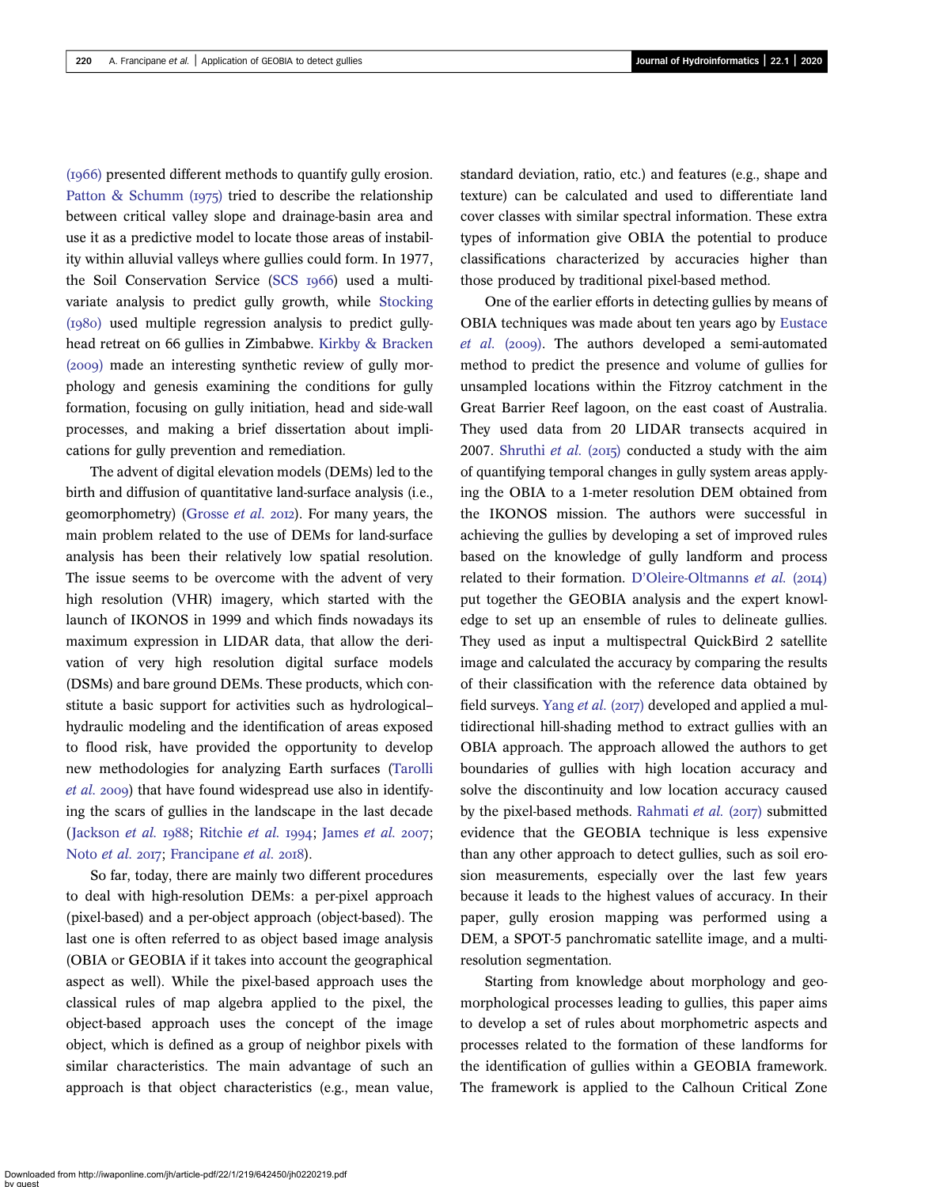$(1966)$  presented different methods to quantify gully erosion. [Patton & Schumm \(](#page-15-0)1975) tried to describe the relationship between critical valley slope and drainage-basin area and use it as a predictive model to locate those areas of instability within alluvial valleys where gullies could form. In 1977, the Soil Conservation Service (SCS 1966) used a multivariate analysis to predict gully growth, while [Stocking](#page-15-0)  $(1980)$  used multiple regression analysis to predict gullyhead retreat on 66 gullies in Zimbabwe. [Kirkby & Bracken](#page-15-0)  $(2009)$  made an interesting synthetic review of gully morphology and genesis examining the conditions for gully formation, focusing on gully initiation, head and side-wall processes, and making a brief dissertation about implications for gully prevention and remediation.

The advent of digital elevation models (DEMs) led to the birth and diffusion of quantitative land-surface analysis (i.e., geomorphometry) ([Grosse](#page-14-0) *et al.* 2012). For many years, the main problem related to the use of DEMs for land-surface analysis has been their relatively low spatial resolution. The issue seems to be overcome with the advent of very high resolution (VHR) imagery, which started with the launch of IKONOS in 1999 and which finds nowadays its maximum expression in LIDAR data, that allow the derivation of very high resolution digital surface models (DSMs) and bare ground DEMs. These products, which constitute a basic support for activities such as hydrological– hydraulic modeling and the identification of areas exposed to flood risk, have provided the opportunity to develop new methodologies for analyzing Earth surfaces ([Tarolli](#page-15-0)  $et$  al. 2009) that have found widespread use also in identifying the scars of gullies in the landscape in the last decade ([Jackson](#page-15-0) et al. 1988; [Ritchie](#page-15-0) et al. 1994; [James](#page-15-0) et al. 2007; [Noto](#page-15-0) et al. 2017; [Francipane](#page-14-0) et al. 2018).

So far, today, there are mainly two different procedures to deal with high-resolution DEMs: a per-pixel approach (pixel-based) and a per-object approach (object-based). The last one is often referred to as object based image analysis (OBIA or GEOBIA if it takes into account the geographical aspect as well). While the pixel-based approach uses the classical rules of map algebra applied to the pixel, the object-based approach uses the concept of the image object, which is defined as a group of neighbor pixels with similar characteristics. The main advantage of such an approach is that object characteristics (e.g., mean value,

standard deviation, ratio, etc.) and features (e.g., shape and texture) can be calculated and used to differentiate land cover classes with similar spectral information. These extra types of information give OBIA the potential to produce classifications characterized by accuracies higher than those produced by traditional pixel-based method.

One of the earlier efforts in detecting gullies by means of OBIA techniques was made about ten years ago by [Eustace](#page-14-0)  $et$  al. (2009). The authors developed a semi-automated method to predict the presence and volume of gullies for unsampled locations within the Fitzroy catchment in the Great Barrier Reef lagoon, on the east coast of Australia. They used data from 20 LIDAR transects acquired in 2007. [Shruthi](#page-15-0) et al.  $(2015)$  conducted a study with the aim of quantifying temporal changes in gully system areas applying the OBIA to a 1-meter resolution DEM obtained from the IKONOS mission. The authors were successful in achieving the gullies by developing a set of improved rules based on the knowledge of gully landform and process related to their formation. D'[Oleire-Oltmanns](#page-14-0) et al. (2014) put together the GEOBIA analysis and the expert knowledge to set up an ensemble of rules to delineate gullies. They used as input a multispectral QuickBird 2 satellite image and calculated the accuracy by comparing the results of their classification with the reference data obtained by field surveys. [Yang](#page-15-0) et al. (2017) developed and applied a multidirectional hill-shading method to extract gullies with an OBIA approach. The approach allowed the authors to get boundaries of gullies with high location accuracy and solve the discontinuity and low location accuracy caused by the pixel-based methods. [Rahmati](#page-15-0) et al.  $(2017)$  submitted evidence that the GEOBIA technique is less expensive than any other approach to detect gullies, such as soil erosion measurements, especially over the last few years because it leads to the highest values of accuracy. In their paper, gully erosion mapping was performed using a DEM, a SPOT-5 panchromatic satellite image, and a multiresolution segmentation.

Starting from knowledge about morphology and geomorphological processes leading to gullies, this paper aims to develop a set of rules about morphometric aspects and processes related to the formation of these landforms for the identification of gullies within a GEOBIA framework. The framework is applied to the Calhoun Critical Zone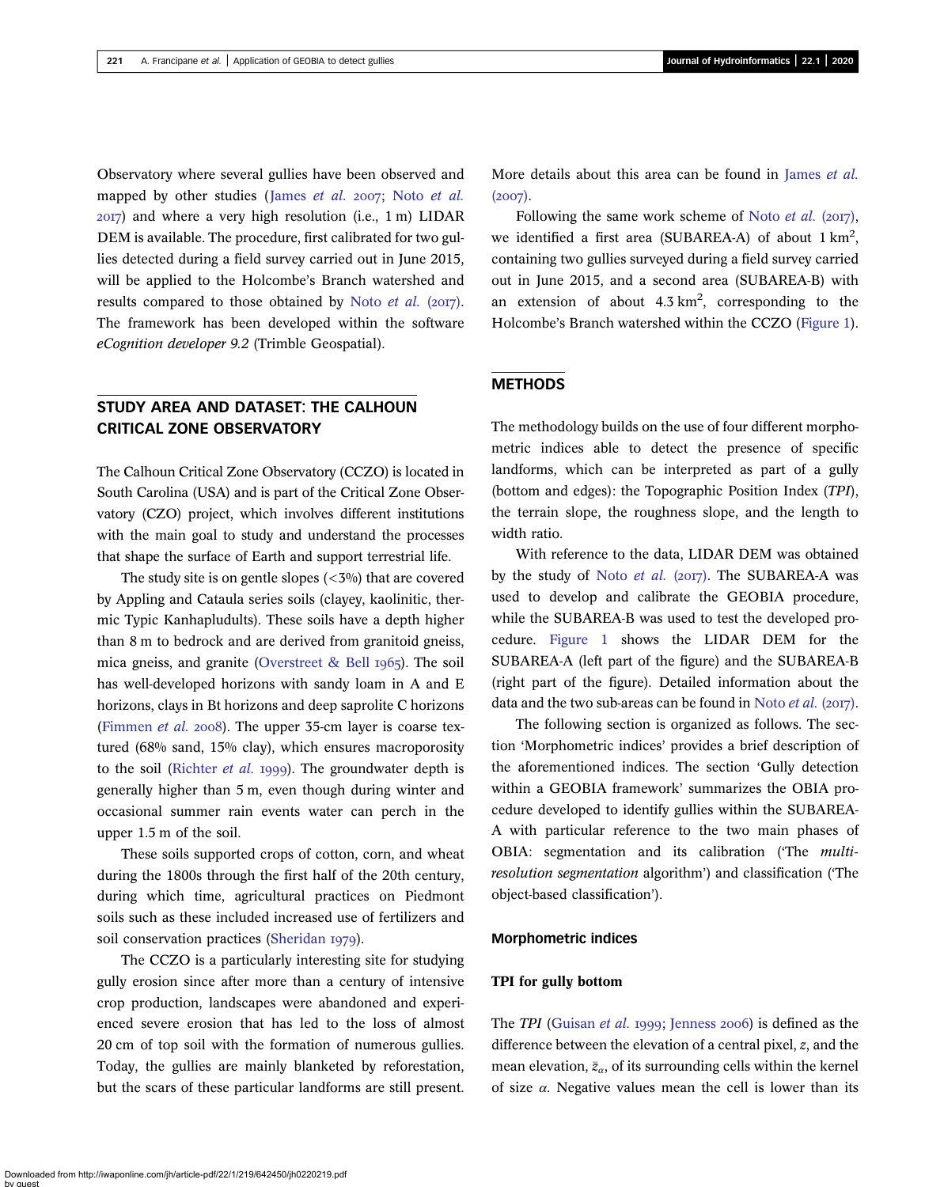Observatory where several gullies have been observed and mapped by other studies ([James](#page-15-0) [et al.](#page-15-0)  $2007$ ; Noto et al. ) and where a very high resolution (i.e., 1 m) LIDAR DEM is available. The procedure, first calibrated for two gullies detected during a field survey carried out in June 2015, will be applied to the Holcombe's Branch watershed and results compared to those obtained by Noto  $et$  al. (2017). The framework has been developed within the software eCognition developer 9.2 (Trimble Geospatial).

# STUDY AREA AND DATASET: THE CALHOUN CRITICAL ZONE OBSERVATORY

The Calhoun Critical Zone Observatory (CCZO) is located in South Carolina (USA) and is part of the Critical Zone Observatory (CZO) project, which involves different institutions with the main goal to study and understand the processes that shape the surface of Earth and support terrestrial life.

The study site is on gentle slopes  $\left\langle \langle 3\% \rangle \right\rangle$  that are covered by Appling and Cataula series soils (clayey, kaolinitic, thermic Typic Kanhapludults). These soils have a depth higher than 8 m to bedrock and are derived from granitoid gneiss, mica gneiss, and granite (Overstreet  $\&$  Bell 1965). The soil has well-developed horizons with sandy loam in A and E horizons, clays in Bt horizons and deep saprolite C horizons [\(Fimmen](#page-14-0) et al. 2008). The upper 35-cm layer is coarse textured (68% sand, 15% clay), which ensures macroporosity to the soil [\(Richter](#page-15-0) *et al.* 1999). The groundwater depth is generally higher than 5 m, even though during winter and occasional summer rain events water can perch in the upper 1.5 m of the soil.

These soils supported crops of cotton, corn, and wheat during the 1800s through the first half of the 20th century, during which time, agricultural practices on Piedmont soils such as these included increased use of fertilizers and soil conservation practices [\(Sheridan](#page-15-0) 1979).

The CCZO is a particularly interesting site for studying gully erosion since after more than a century of intensive crop production, landscapes were abandoned and experienced severe erosion that has led to the loss of almost 20 cm of top soil with the formation of numerous gullies. Today, the gullies are mainly blanketed by reforestation, but the scars of these particular landforms are still present. More details about this area can be found in [James](#page-15-0) et al.  $(2007).$ 

Following the same work scheme of [Noto](#page-15-0) *et al.* ( $2017$ ), we identified a first area (SUBAREA-A) of about  $1 \text{ km}^2$ , containing two gullies surveyed during a field survey carried out in June 2015, and a second area (SUBAREA-B) with an extension of about  $4.3 \text{ km}^2$ , corresponding to the Holcombe's Branch watershed within the CCZO ([Figure 1\)](#page-3-0).

# **METHODS**

The methodology builds on the use of four different morphometric indices able to detect the presence of specific landforms, which can be interpreted as part of a gully (bottom and edges): the Topographic Position Index (TPI), the terrain slope, the roughness slope, and the length to width ratio.

With reference to the data, LIDAR DEM was obtained by the study of Noto  $et$  al. (2017). The SUBAREA-A was used to develop and calibrate the GEOBIA procedure, while the SUBAREA-B was used to test the developed procedure. [Figure 1](#page-3-0) shows the LIDAR DEM for the SUBAREA-A (left part of the figure) and the SUBAREA-B (right part of the figure). Detailed information about the data and the two sub-areas can be found in [Noto](#page-15-0)  $et$  al. (2017).

The following section is organized as follows. The section 'Morphometric indices' provides a brief description of the aforementioned indices. The section 'Gully detection within a GEOBIA framework' summarizes the OBIA procedure developed to identify gullies within the SUBAREA-A with particular reference to the two main phases of OBIA: segmentation and its calibration ('The multiresolution segmentation algorithm') and classification ('The object-based classification').

#### Morphometric indices

#### TPI for gully bottom

The TPI [\(Guisan](#page-14-0) *et al.* 1999; [Jenness](#page-15-0) 2006) is defined as the difference between the elevation of a central pixel, z, and the mean elevation,  $\bar{z}_\alpha$ , of its surrounding cells within the kernel of size  $\alpha$ . Negative values mean the cell is lower than its

Downloaded from http://iwaponline.com/jh/article-pdf/22/1/219/642450/jh0220219.pdf by guest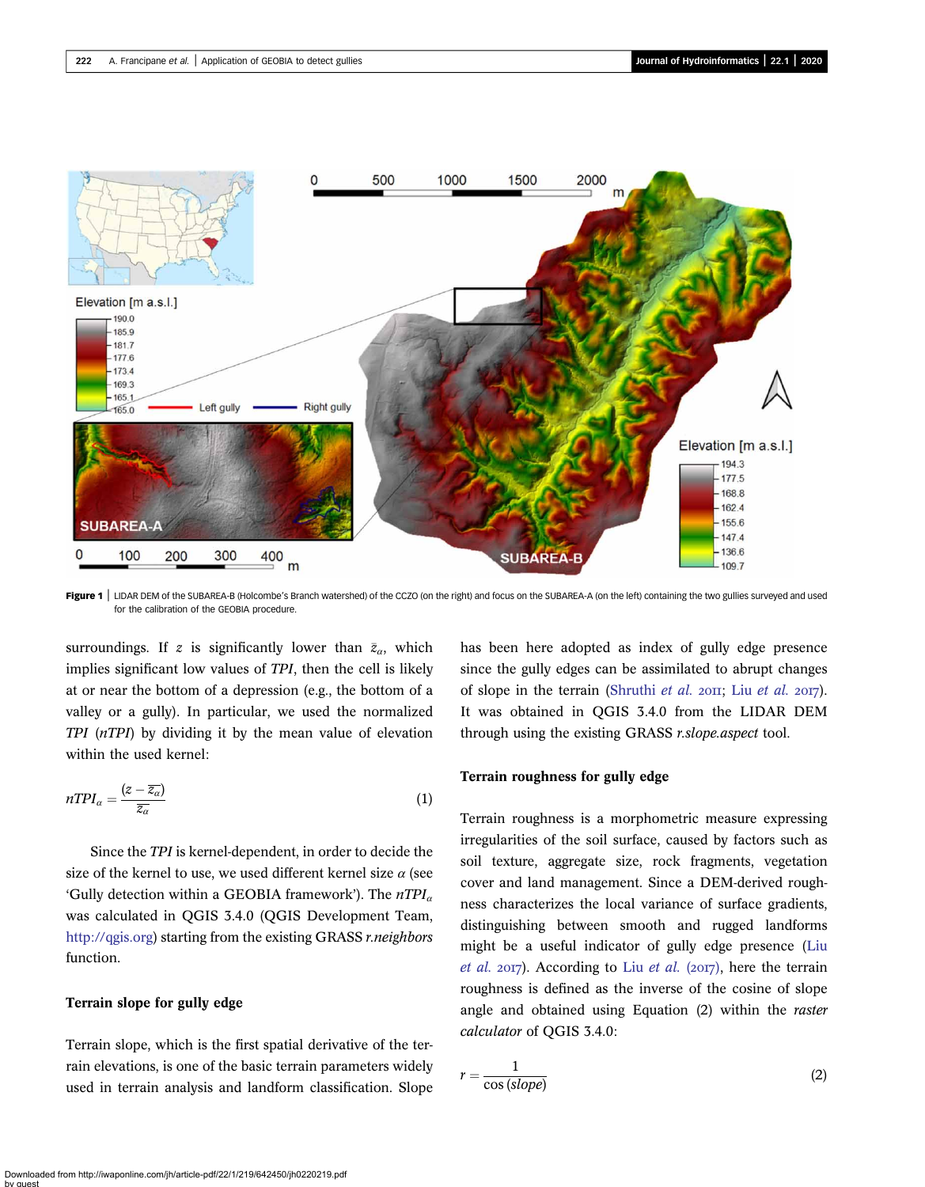<span id="page-3-0"></span>

Figure 1 | LIDAR DEM of the SUBAREA-B (Holcombe's Branch watershed) of the CCZO (on the right) and focus on the SUBAREA-A (on the left) containing the two gullies surveyed and used for the calibration of the GEOBIA procedure.

surroundings. If z is significantly lower than  $\bar{z}_\alpha$ , which implies significant low values of TPI, then the cell is likely at or near the bottom of a depression (e.g., the bottom of a valley or a gully). In particular, we used the normalized TPI (nTPI) by dividing it by the mean value of elevation within the used kernel:

$$
nTPI_{\alpha} = \frac{(z - \overline{z_{\alpha}})}{\overline{z_{\alpha}}}
$$
\n(1)

Since the TPI is kernel-dependent, in order to decide the size of the kernel to use, we used different kernel size  $\alpha$  (see 'Gully detection within a GEOBIA framework'). The  $nTPI_a$ was calculated in QGIS 3.4.0 (QGIS Development Team, [http://qgis.org\)](http://qgis.org) starting from the existing GRASS r.neighbors function.

# Terrain slope for gully edge

Terrain slope, which is the first spatial derivative of the terrain elevations, is one of the basic terrain parameters widely used in terrain analysis and landform classification. Slope has been here adopted as index of gully edge presence since the gully edges can be assimilated to abrupt changes of slope in the terrain [\(Shruthi](#page-15-0) [et al.](#page-15-0)  $20II$ ; Liu et al.  $20I$ ). It was obtained in QGIS 3.4.0 from the LIDAR DEM through using the existing GRASS r.slope.aspect tool.

## Terrain roughness for gully edge

Terrain roughness is a morphometric measure expressing irregularities of the soil surface, caused by factors such as soil texture, aggregate size, rock fragments, vegetation cover and land management. Since a DEM-derived roughness characterizes the local variance of surface gradients, distinguishing between smooth and rugged landforms might be a useful indicator of gully edge presence ([Liu](#page-15-0) [et al.](#page-15-0) 2017). According to Liu et al. (2017), here the terrain roughness is defined as the inverse of the cosine of slope angle and obtained using Equation (2) within the raster calculator of QGIS 3.4.0:

$$
r = \frac{1}{\cos(slope)}\tag{2}
$$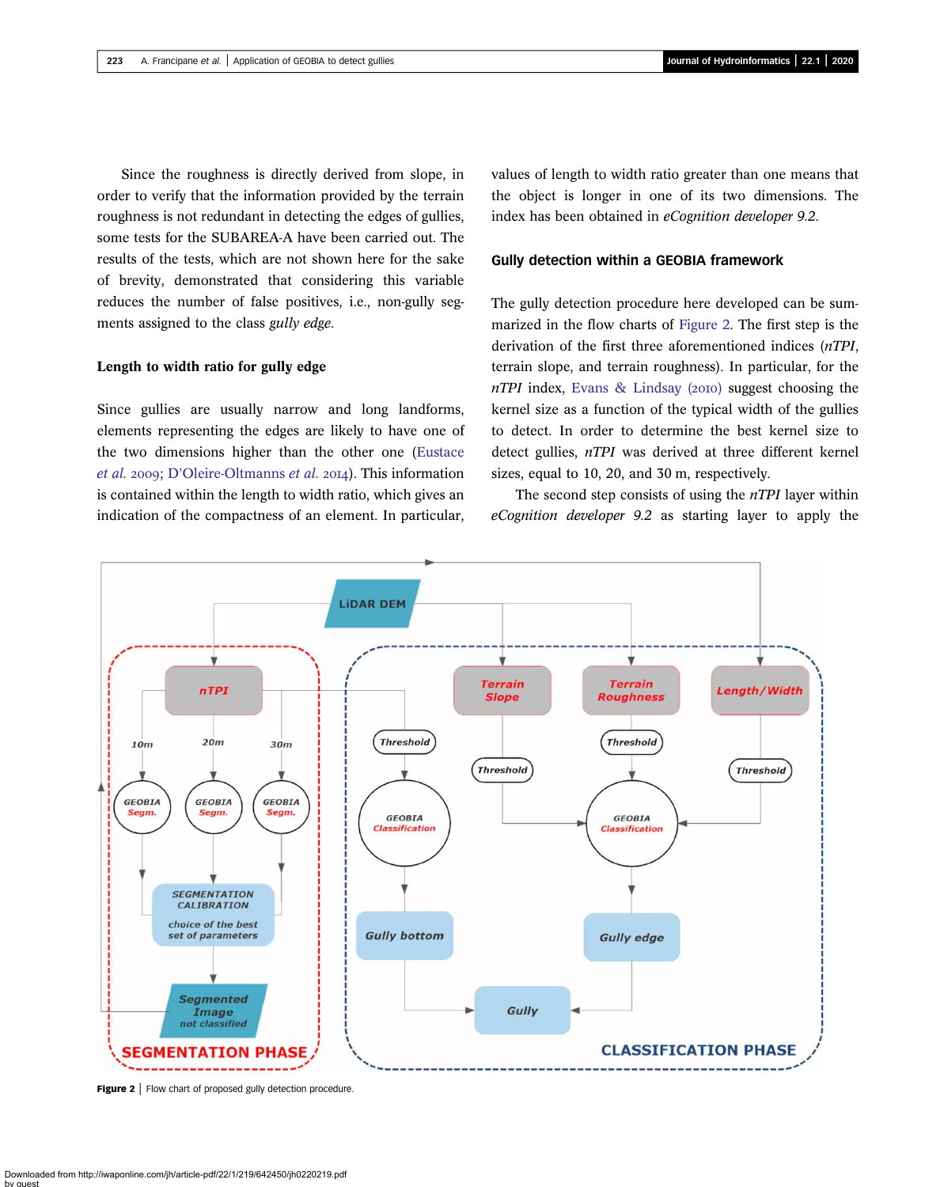Since the roughness is directly derived from slope, in order to verify that the information provided by the terrain roughness is not redundant in detecting the edges of gullies, some tests for the SUBAREA-A have been carried out. The results of the tests, which are not shown here for the sake of brevity, demonstrated that considering this variable reduces the number of false positives, i.e., non-gully segments assigned to the class gully edge.

## Length to width ratio for gully edge

Since gullies are usually narrow and long landforms, elements representing the edges are likely to have one of the two dimensions higher than the other one ([Eustace](#page-14-0) [et al.](#page-14-0) 2009; D'[Oleire-Oltmanns](#page-14-0) et al. 2014). This information is contained within the length to width ratio, which gives an indication of the compactness of an element. In particular,

values of length to width ratio greater than one means that the object is longer in one of its two dimensions. The index has been obtained in eCognition developer 9.2.

#### Gully detection within a GEOBIA framework

The gully detection procedure here developed can be summarized in the flow charts of Figure 2. The first step is the derivation of the first three aforementioned indices (nTPI, terrain slope, and terrain roughness). In particular, for the  $nTPI$  index, [Evans & Lindsay \(](#page-14-0)2010) suggest choosing the kernel size as a function of the typical width of the gullies to detect. In order to determine the best kernel size to detect gullies, nTPI was derived at three different kernel sizes, equal to 10, 20, and 30 m, respectively.

The second step consists of using the  $nTPI$  layer within eCognition developer 9.2 as starting layer to apply the



Figure 2 | Flow chart of proposed gully detection procedure.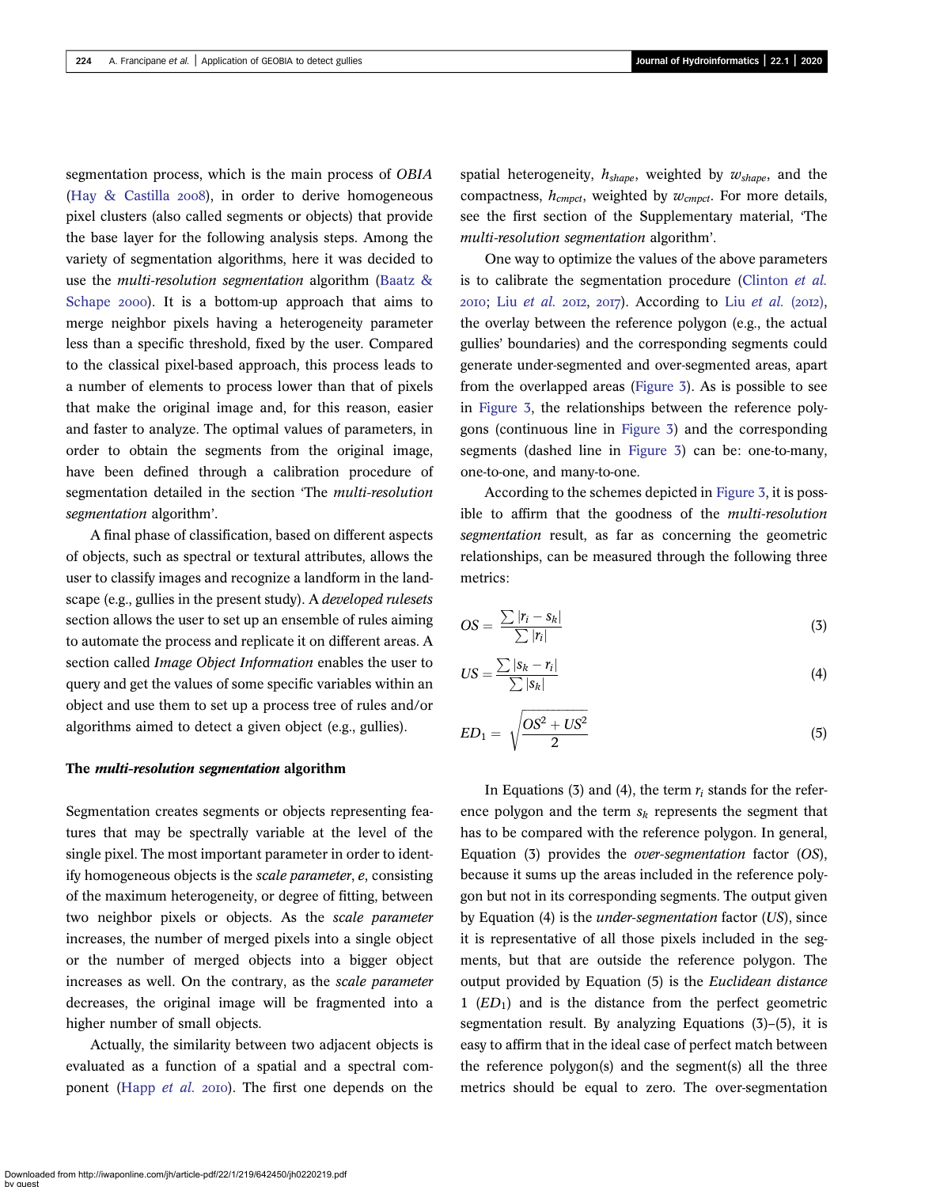segmentation process, which is the main process of OBIA (Hay  $\&$  Castilla 2008), in order to derive homogeneous pixel clusters (also called segments or objects) that provide the base layer for the following analysis steps. Among the variety of segmentation algorithms, here it was decided to use the *multi-resolution segmentation* algorithm (Baatz  $\&$ [Schape](#page-14-0) 2000). It is a bottom-up approach that aims to merge neighbor pixels having a heterogeneity parameter less than a specific threshold, fixed by the user. Compared to the classical pixel-based approach, this process leads to a number of elements to process lower than that of pixels that make the original image and, for this reason, easier and faster to analyze. The optimal values of parameters, in order to obtain the segments from the original image, have been defined through a calibration procedure of segmentation detailed in the section 'The multi-resolution segmentation algorithm'.

A final phase of classification, based on different aspects of objects, such as spectral or textural attributes, allows the user to classify images and recognize a landform in the landscape (e.g., gullies in the present study). A developed rulesets section allows the user to set up an ensemble of rules aiming to automate the process and replicate it on different areas. A section called *Image Object Information* enables the user to query and get the values of some specific variables within an object and use them to set up a process tree of rules and/or algorithms aimed to detect a given object (e.g., gullies).

#### The multi-resolution segmentation algorithm

Segmentation creates segments or objects representing features that may be spectrally variable at the level of the single pixel. The most important parameter in order to identify homogeneous objects is the scale parameter, e, consisting of the maximum heterogeneity, or degree of fitting, between two neighbor pixels or objects. As the scale parameter increases, the number of merged pixels into a single object or the number of merged objects into a bigger object increases as well. On the contrary, as the scale parameter decreases, the original image will be fragmented into a higher number of small objects.

Actually, the similarity between two adjacent objects is evaluated as a function of a spatial and a spectral com-ponent ([Happ](#page-14-0) et al. 2010). The first one depends on the spatial heterogeneity,  $h_{shape}$ , weighted by  $w_{shape}$ , and the compactness,  $h_{\text{cmpct}}$ , weighted by  $w_{\text{cmpct}}$ . For more details, see the first section of the Supplementary material, 'The multi-resolution segmentation algorithm'.

One way to optimize the values of the above parameters is to calibrate the segmentation procedure [\(Clinton](#page-14-0) et al. 2010; Liu [et al.](#page-15-0) 2012, 2017). According to Liu et al. (2012), the overlay between the reference polygon (e.g., the actual gullies' boundaries) and the corresponding segments could generate under-segmented and over-segmented areas, apart from the overlapped areas ([Figure 3\)](#page-6-0). As is possible to see in [Figure 3](#page-6-0), the relationships between the reference polygons (continuous line in [Figure 3](#page-6-0)) and the corresponding segments (dashed line in [Figure 3](#page-6-0)) can be: one-to-many, one-to-one, and many-to-one.

According to the schemes depicted in [Figure 3,](#page-6-0) it is possible to affirm that the goodness of the multi-resolution segmentation result, as far as concerning the geometric relationships, can be measured through the following three metrics:

$$
OS = \frac{\sum |r_i - s_k|}{\sum |r_i|} \tag{3}
$$

$$
US = \frac{\sum |s_k - r_i|}{\sum |s_k|} \tag{4}
$$

$$
ED_1 = \sqrt{\frac{OS^2 + US^2}{2}}\tag{5}
$$

In Equations (3) and (4), the term  $r_i$  stands for the reference polygon and the term  $s_k$  represents the segment that has to be compared with the reference polygon. In general, Equation (3) provides the over-segmentation factor (OS), because it sums up the areas included in the reference polygon but not in its corresponding segments. The output given by Equation (4) is the under-segmentation factor (US), since it is representative of all those pixels included in the segments, but that are outside the reference polygon. The output provided by Equation (5) is the Euclidean distance 1  $(ED<sub>1</sub>)$  and is the distance from the perfect geometric segmentation result. By analyzing Equations (3)–(5), it is easy to affirm that in the ideal case of perfect match between the reference polygon(s) and the segment(s) all the three metrics should be equal to zero. The over-segmentation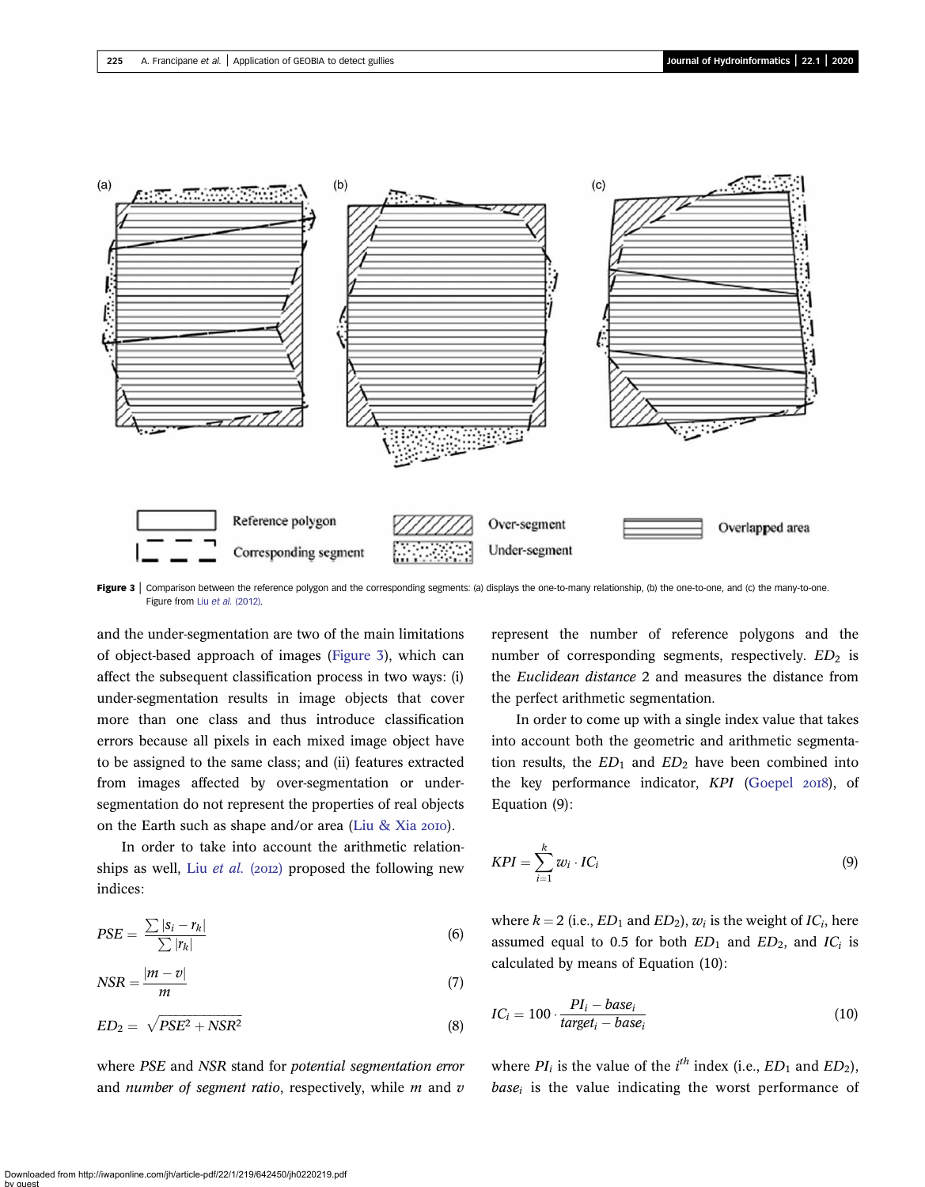<span id="page-6-0"></span>

Figure 3 | Comparison between the reference polygon and the corresponding segments: (a) displays the one-to-many relationship, (b) the one-to-one, and (c) the many-to-one. Figure from Liu et al. [\(2012\).](#page-15-0)

and the under-segmentation are two of the main limitations of object-based approach of images (Figure 3), which can affect the subsequent classification process in two ways: (i) under-segmentation results in image objects that cover more than one class and thus introduce classification errors because all pixels in each mixed image object have to be assigned to the same class; and (ii) features extracted from images affected by over-segmentation or undersegmentation do not represent the properties of real objects on the Earth such as shape and/or area ([Liu & Xia](#page-15-0)  $2010$ ).

In order to take into account the arithmetic relationships as well, Liu *[et al.](#page-15-0)* (2012) proposed the following new indices:

$$
PSE = \frac{\sum |s_i - r_k|}{\sum |r_k|} \tag{6}
$$

$$
NSR = \frac{|m - v|}{m} \tag{7}
$$

$$
ED_2 = \sqrt{PSE^2 + NSR^2} \tag{8}
$$

where PSE and NSR stand for potential segmentation error and number of segment ratio, respectively, while  $m$  and  $v$ 

represent the number of reference polygons and the number of corresponding segments, respectively.  $ED<sub>2</sub>$  is the Euclidean distance 2 and measures the distance from the perfect arithmetic segmentation.

In order to come up with a single index value that takes into account both the geometric and arithmetic segmentation results, the  $ED_1$  and  $ED_2$  have been combined into the key performance indicator, KPI [\(Goepel](#page-14-0) 2018), of Equation (9):

$$
KPI = \sum_{i=1}^{k} w_i \cdot IC_i \tag{9}
$$

where  $k = 2$  (i.e.,  $ED_1$  and  $ED_2$ ),  $w_i$  is the weight of  $IC_i$ , here assumed equal to 0.5 for both  $ED_1$  and  $ED_2$ , and  $IC_i$  is calculated by means of Equation (10):

$$
IC_i = 100 \cdot \frac{PI_i - base_i}{target_i - base_i}
$$
 (10)

where  $PI_i$  is the value of the  $i^{th}$  index (i.e.,  $ED_1$  and  $ED_2$ ),  $base<sub>i</sub>$  is the value indicating the worst performance of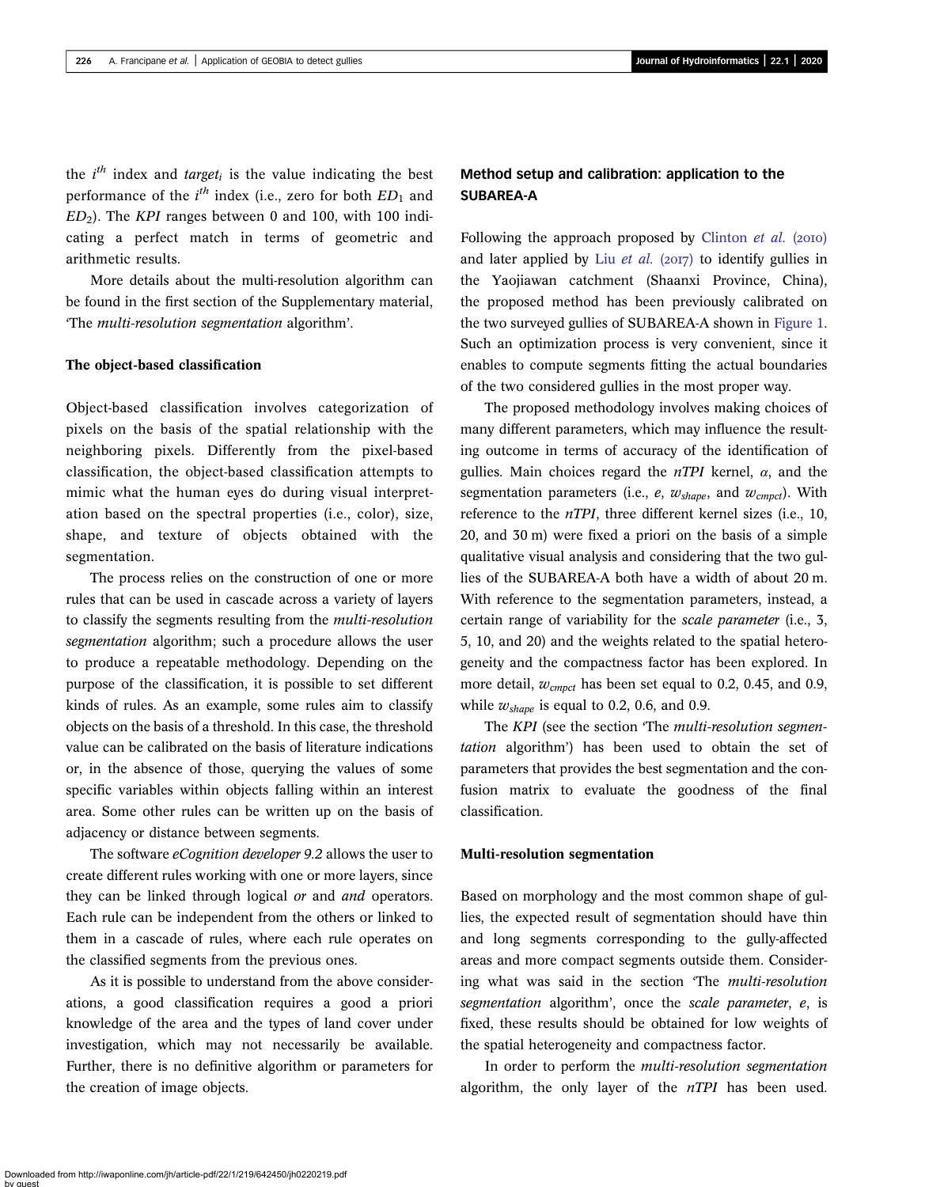the  $i^{th}$  index and *target<sub>i</sub>* is the value indicating the best performance of the  $i^{th}$  index (i.e., zero for both  $ED_1$  and  $ED<sub>2</sub>$ ). The KPI ranges between 0 and 100, with 100 indicating a perfect match in terms of geometric and arithmetic results.

More details about the multi-resolution algorithm can be found in the first section of the Supplementary material, 'The multi-resolution segmentation algorithm'.

#### The object-based classification

Object-based classification involves categorization of pixels on the basis of the spatial relationship with the neighboring pixels. Differently from the pixel-based classification, the object-based classification attempts to mimic what the human eyes do during visual interpretation based on the spectral properties (i.e., color), size, shape, and texture of objects obtained with the segmentation.

The process relies on the construction of one or more rules that can be used in cascade across a variety of layers to classify the segments resulting from the multi-resolution segmentation algorithm; such a procedure allows the user to produce a repeatable methodology. Depending on the purpose of the classification, it is possible to set different kinds of rules. As an example, some rules aim to classify objects on the basis of a threshold. In this case, the threshold value can be calibrated on the basis of literature indications or, in the absence of those, querying the values of some specific variables within objects falling within an interest area. Some other rules can be written up on the basis of adjacency or distance between segments.

The software *eCognition developer* 9.2 allows the user to create different rules working with one or more layers, since they can be linked through logical or and and operators. Each rule can be independent from the others or linked to them in a cascade of rules, where each rule operates on the classified segments from the previous ones.

As it is possible to understand from the above considerations, a good classification requires a good a priori knowledge of the area and the types of land cover under investigation, which may not necessarily be available. Further, there is no definitive algorithm or parameters for the creation of image objects.

# Method setup and calibration: application to the SUBAREA-A

Following the approach proposed by [Clinton](#page-14-0)  $et$   $al.$  (2010) and later applied by Liu [et al.](#page-15-0) ( $2017$ ) to identify gullies in the Yaojiawan catchment (Shaanxi Province, China), the proposed method has been previously calibrated on the two surveyed gullies of SUBAREA-A shown in [Figure 1](#page-3-0). Such an optimization process is very convenient, since it enables to compute segments fitting the actual boundaries of the two considered gullies in the most proper way.

The proposed methodology involves making choices of many different parameters, which may influence the resulting outcome in terms of accuracy of the identification of gullies. Main choices regard the  $nTPI$  kernel,  $\alpha$ , and the segmentation parameters (i.e.,  $e$ ,  $w_{shape}$ , and  $w_{empct}$ ). With reference to the nTPI, three different kernel sizes (i.e., 10, 20, and 30 m) were fixed a priori on the basis of a simple qualitative visual analysis and considering that the two gullies of the SUBAREA-A both have a width of about 20 m. With reference to the segmentation parameters, instead, a certain range of variability for the scale parameter (i.e., 3, 5, 10, and 20) and the weights related to the spatial heterogeneity and the compactness factor has been explored. In more detail,  $w_{cmpct}$  has been set equal to 0.2, 0.45, and 0.9, while  $w_{shape}$  is equal to 0.2, 0.6, and 0.9.

The KPI (see the section 'The multi-resolution segmentation algorithm') has been used to obtain the set of parameters that provides the best segmentation and the confusion matrix to evaluate the goodness of the final classification.

#### Multi-resolution segmentation

Based on morphology and the most common shape of gullies, the expected result of segmentation should have thin and long segments corresponding to the gully-affected areas and more compact segments outside them. Considering what was said in the section 'The multi-resolution segmentation algorithm', once the scale parameter, e, is fixed, these results should be obtained for low weights of the spatial heterogeneity and compactness factor.

In order to perform the multi-resolution segmentation algorithm, the only layer of the  $nTPI$  has been used.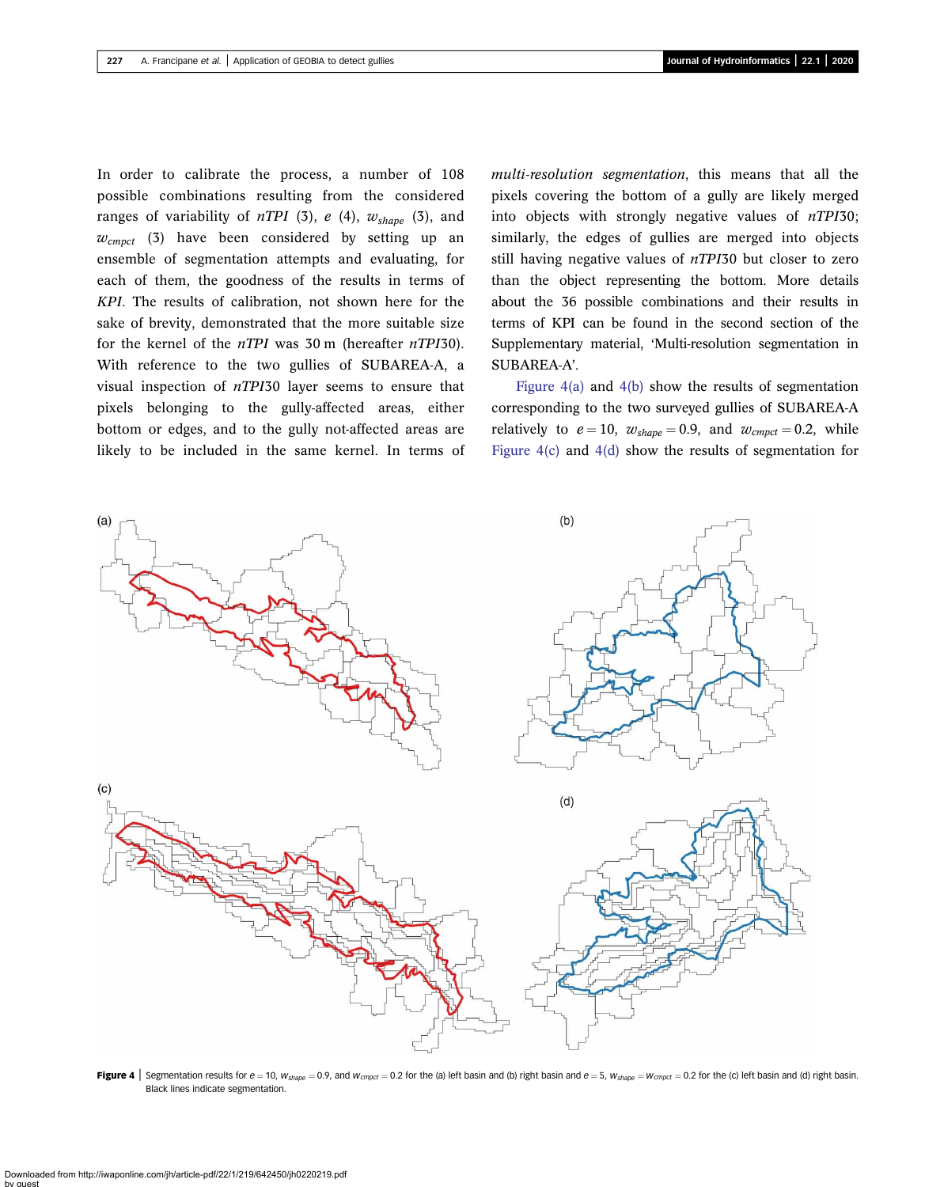<span id="page-8-0"></span>In order to calibrate the process, a number of 108 possible combinations resulting from the considered ranges of variability of  $nTPI$  (3), e (4),  $w_{shape}$  (3), and  $w_{cmpct}$  (3) have been considered by setting up an ensemble of segmentation attempts and evaluating, for each of them, the goodness of the results in terms of KPI. The results of calibration, not shown here for the sake of brevity, demonstrated that the more suitable size for the kernel of the  $nTPI$  was 30 m (hereafter  $nTPI30$ ). With reference to the two gullies of SUBAREA-A, a visual inspection of nTPI30 layer seems to ensure that pixels belonging to the gully-affected areas, either bottom or edges, and to the gully not-affected areas are likely to be included in the same kernel. In terms of multi-resolution segmentation, this means that all the pixels covering the bottom of a gully are likely merged into objects with strongly negative values of nTPI30; similarly, the edges of gullies are merged into objects still having negative values of nTPI30 but closer to zero than the object representing the bottom. More details about the 36 possible combinations and their results in terms of KPI can be found in the second section of the Supplementary material, 'Multi-resolution segmentation in SUBAREA-A'.

Figure  $4(a)$  and  $4(b)$  show the results of segmentation corresponding to the two surveyed gullies of SUBAREA-A relatively to  $e = 10$ ,  $w_{shape} = 0.9$ , and  $w_{cmpct} = 0.2$ , while Figure 4(c) and 4(d) show the results of segmentation for



Figure 4 Segmentation results for  $e = 10$ ,  $w_{shape} = 0.9$ , and  $w_{empty} = 0.2$  for the (a) left basin and (b) right basin and  $e = 5$ ,  $w_{shape} = w_{empty} = 0.2$  for the (c) left basin and (d) right basin. Black lines indicate segmentation.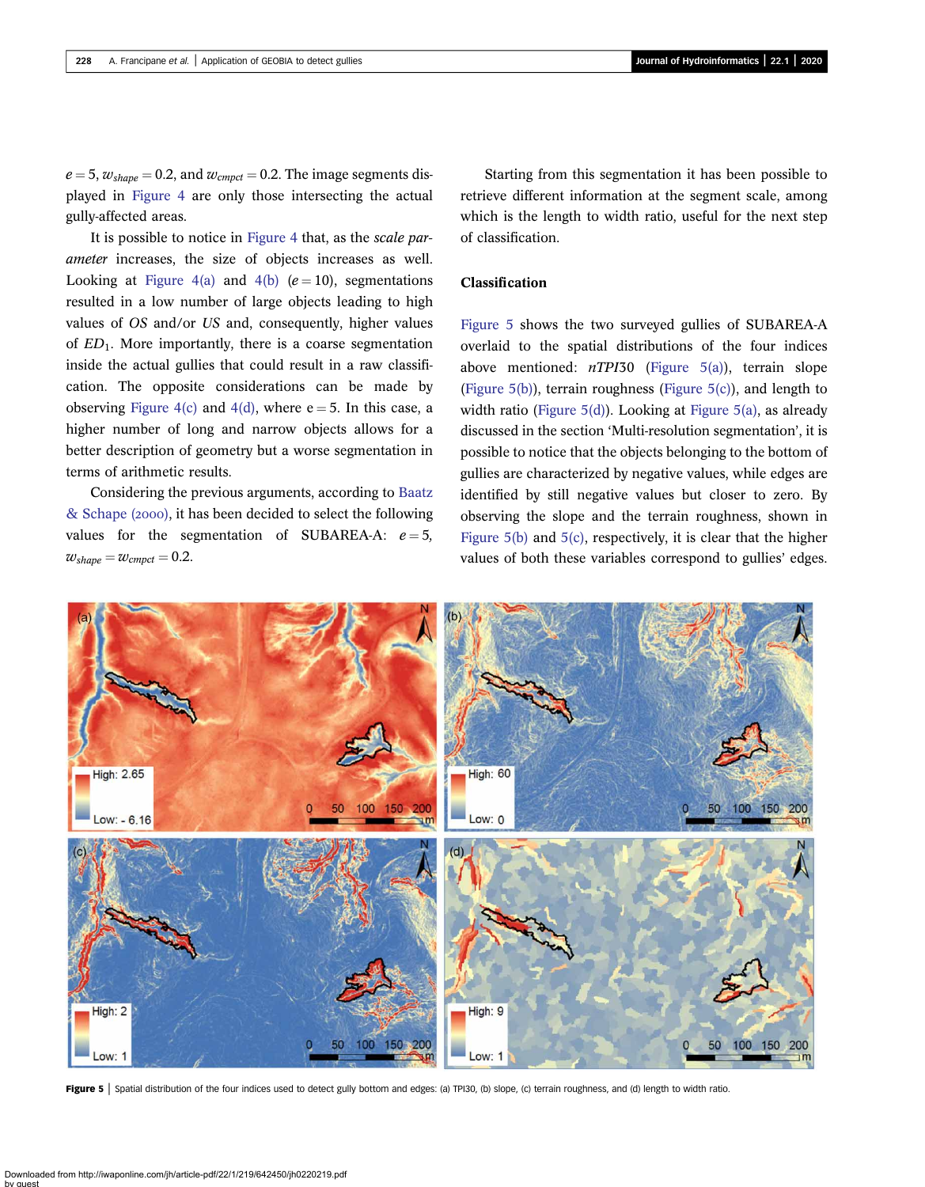<span id="page-9-0"></span> $e = 5$ ,  $w_{shape} = 0.2$ , and  $w_{cmpct} = 0.2$ . The image segments displayed in [Figure 4](#page-8-0) are only those intersecting the actual gully-affected areas.

It is possible to notice in [Figure 4](#page-8-0) that, as the scale parameter increases, the size of objects increases as well. Looking at [Figure 4\(a\)](#page-8-0) and [4\(b\)](#page-8-0)  $(e = 10)$ , segmentations resulted in a low number of large objects leading to high values of OS and/or US and, consequently, higher values of  $ED_1$ . More importantly, there is a coarse segmentation inside the actual gullies that could result in a raw classification. The opposite considerations can be made by observing [Figure 4\(c\)](#page-8-0) and [4\(d\)](#page-8-0), where  $e = 5$ . In this case, a higher number of long and narrow objects allows for a better description of geometry but a worse segmentation in terms of arithmetic results.

Considering the previous arguments, according to [Baatz](#page-14-0)  $&$  Schape (2000), it has been decided to select the following values for the segmentation of SUBAREA-A:  $e = 5$ ,  $w_{shape} = w_{cmpct} = 0.2$ .

Starting from this segmentation it has been possible to retrieve different information at the segment scale, among which is the length to width ratio, useful for the next step of classification.

#### Classification

Figure 5 shows the two surveyed gullies of SUBAREA-A overlaid to the spatial distributions of the four indices above mentioned:  $nTPI30$  (Figure 5(a)), terrain slope (Figure 5(b)), terrain roughness (Figure 5(c)), and length to width ratio (Figure 5(d)). Looking at Figure 5(a), as already discussed in the section 'Multi-resolution segmentation', it is possible to notice that the objects belonging to the bottom of gullies are characterized by negative values, while edges are identified by still negative values but closer to zero. By observing the slope and the terrain roughness, shown in Figure 5(b) and 5(c), respectively, it is clear that the higher values of both these variables correspond to gullies' edges.



Figure 5 | Spatial distribution of the four indices used to detect gully bottom and edges: (a) TPI30, (b) slope, (c) terrain roughness, and (d) length to width ratio.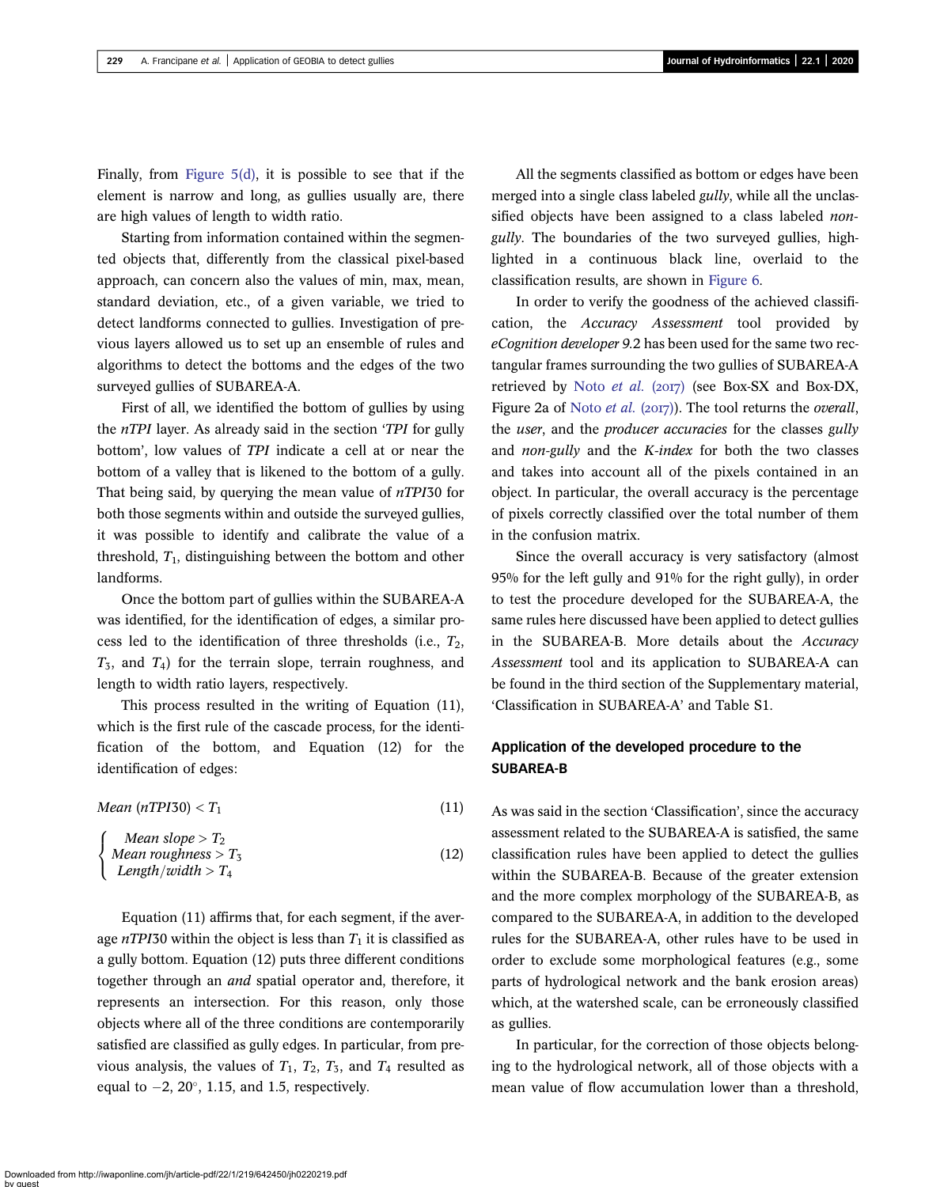Finally, from Figure  $5(d)$ , it is possible to see that if the element is narrow and long, as gullies usually are, there are high values of length to width ratio.

Starting from information contained within the segmented objects that, differently from the classical pixel-based approach, can concern also the values of min, max, mean, standard deviation, etc., of a given variable, we tried to detect landforms connected to gullies. Investigation of previous layers allowed us to set up an ensemble of rules and algorithms to detect the bottoms and the edges of the two surveyed gullies of SUBAREA-A.

First of all, we identified the bottom of gullies by using the nTPI layer. As already said in the section 'TPI for gully bottom', low values of TPI indicate a cell at or near the bottom of a valley that is likened to the bottom of a gully. That being said, by querying the mean value of  $nTPI30$  for both those segments within and outside the surveyed gullies, it was possible to identify and calibrate the value of a threshold,  $T_1$ , distinguishing between the bottom and other landforms.

Once the bottom part of gullies within the SUBAREA-A was identified, for the identification of edges, a similar process led to the identification of three thresholds (i.e.,  $T_2$ ,  $T_3$ , and  $T_4$ ) for the terrain slope, terrain roughness, and length to width ratio layers, respectively.

This process resulted in the writing of Equation (11), which is the first rule of the cascade process, for the identification of the bottom, and Equation (12) for the identification of edges:

| Mean (nTPI30) $< T_1$ |  |  |
|-----------------------|--|--|
|-----------------------|--|--|

$$
\begin{cases}\nMean slope > T_2 \\
Mean roughness > T_3 \\
Length/width > T_4\n\end{cases}
$$
\n(12)

Equation (11) affirms that, for each segment, if the average  $nTPI30$  within the object is less than  $T_1$  it is classified as a gully bottom. Equation (12) puts three different conditions together through an and spatial operator and, therefore, it represents an intersection. For this reason, only those objects where all of the three conditions are contemporarily satisfied are classified as gully edges. In particular, from previous analysis, the values of  $T_1$ ,  $T_2$ ,  $T_3$ , and  $T_4$  resulted as equal to  $-2$ ,  $20^{\circ}$ , 1.15, and 1.5, respectively.

All the segments classified as bottom or edges have been merged into a single class labeled *gully*, while all the unclassified objects have been assigned to a class labeled *non*gully. The boundaries of the two surveyed gullies, highlighted in a continuous black line, overlaid to the classification results, are shown in [Figure 6](#page-11-0).

In order to verify the goodness of the achieved classification, the Accuracy Assessment tool provided by eCognition developer 9.2 has been used for the same two rectangular frames surrounding the two gullies of SUBAREA-A retrieved by Noto [et al.](#page-15-0)  $(2017)$  (see Box-SX and Box-DX, Figure 2a of [Noto](#page-15-0) *et al.* (2017)). The tool returns the *overall*, the user, and the producer accuracies for the classes gully and non-gully and the K-index for both the two classes and takes into account all of the pixels contained in an object. In particular, the overall accuracy is the percentage of pixels correctly classified over the total number of them in the confusion matrix.

Since the overall accuracy is very satisfactory (almost 95% for the left gully and 91% for the right gully), in order to test the procedure developed for the SUBAREA-A, the same rules here discussed have been applied to detect gullies in the SUBAREA-B. More details about the Accuracy Assessment tool and its application to SUBAREA-A can be found in the third section of the Supplementary material, 'Classification in SUBAREA-A' and Table S1.

# Application of the developed procedure to the SUBAREA-B

As was said in the section 'Classification', since the accuracy assessment related to the SUBAREA-A is satisfied, the same classification rules have been applied to detect the gullies within the SUBAREA-B. Because of the greater extension and the more complex morphology of the SUBAREA-B, as compared to the SUBAREA-A, in addition to the developed rules for the SUBAREA-A, other rules have to be used in order to exclude some morphological features (e.g., some parts of hydrological network and the bank erosion areas) which, at the watershed scale, can be erroneously classified as gullies.

In particular, for the correction of those objects belonging to the hydrological network, all of those objects with a mean value of flow accumulation lower than a threshold,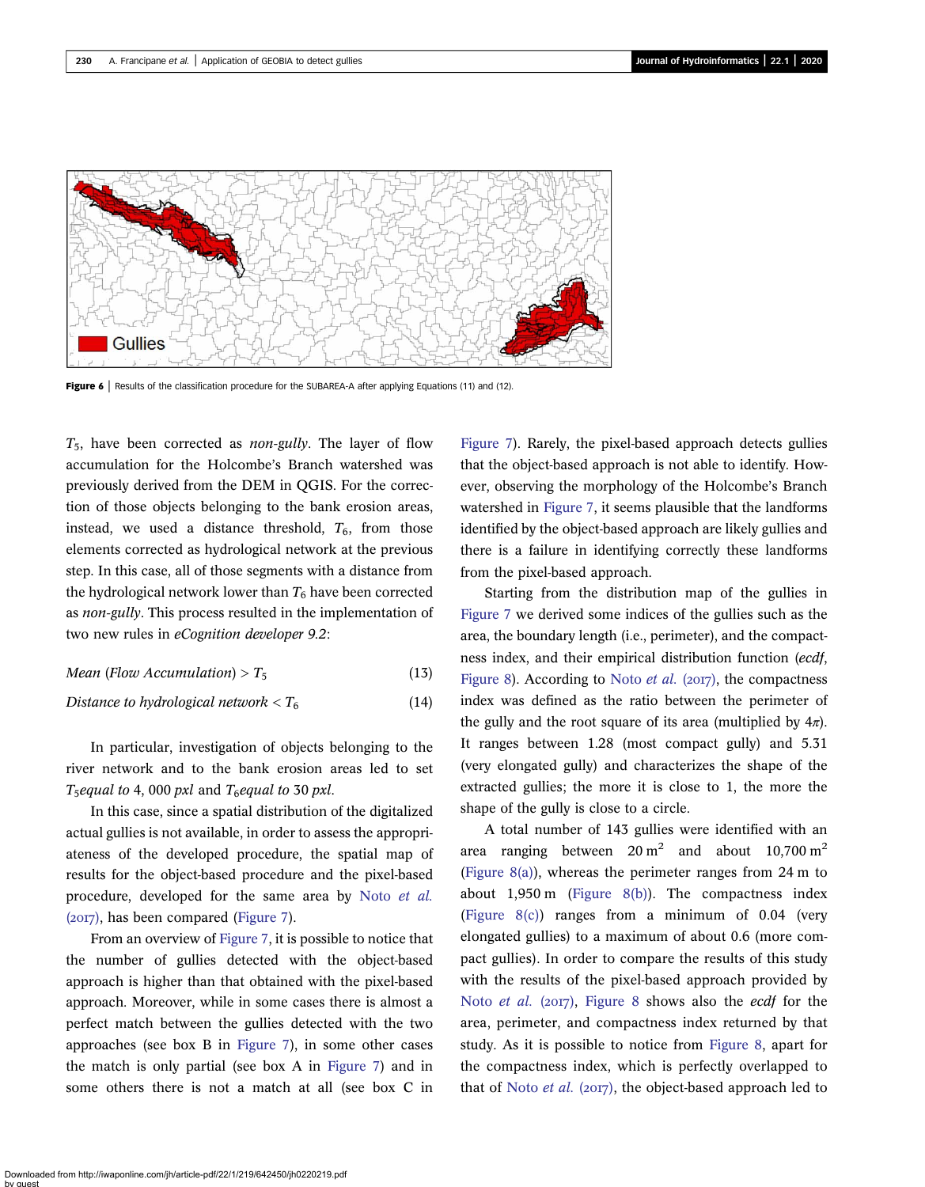<span id="page-11-0"></span>

Figure 6 | Results of the classification procedure for the SUBAREA-A after applying Equations (11) and (12).

 $T_5$ , have been corrected as *non-gully*. The layer of flow accumulation for the Holcombe's Branch watershed was previously derived from the DEM in QGIS. For the correction of those objects belonging to the bank erosion areas, instead, we used a distance threshold,  $T_6$ , from those elements corrected as hydrological network at the previous step. In this case, all of those segments with a distance from the hydrological network lower than  $T_6$  have been corrected as non-gully. This process resulted in the implementation of two new rules in eCognition developer 9.2:

Mean (Flow Accumulation) > 
$$
T_5
$$
 (13)

Distance to hydrological network 
$$
< T_6
$$
 (14)

In particular, investigation of objects belonging to the river network and to the bank erosion areas led to set  $T_5$ equal to 4,000 pxl and  $T_6$ equal to 30 pxl.

In this case, since a spatial distribution of the digitalized actual gullies is not available, in order to assess the appropriateness of the developed procedure, the spatial map of results for the object-based procedure and the pixel-based procedure, developed for the same area by Noto [et al.](#page-15-0)  $(20I7)$ , has been compared ([Figure 7](#page-12-0)).

From an overview of [Figure 7](#page-12-0), it is possible to notice that the number of gullies detected with the object-based approach is higher than that obtained with the pixel-based approach. Moreover, while in some cases there is almost a perfect match between the gullies detected with the two approaches (see box B in [Figure 7](#page-12-0)), in some other cases the match is only partial (see box A in [Figure 7\)](#page-12-0) and in some others there is not a match at all (see box C in [Figure 7](#page-12-0)). Rarely, the pixel-based approach detects gullies that the object-based approach is not able to identify. However, observing the morphology of the Holcombe's Branch watershed in [Figure 7](#page-12-0), it seems plausible that the landforms identified by the object-based approach are likely gullies and there is a failure in identifying correctly these landforms from the pixel-based approach.

Starting from the distribution map of the gullies in [Figure 7](#page-12-0) we derived some indices of the gullies such as the area, the boundary length (i.e., perimeter), and the compactness index, and their empirical distribution function (ecdf, [Figure 8](#page-12-0)). According to [Noto](#page-15-0) *et al.* ( $2017$ ), the compactness index was defined as the ratio between the perimeter of the gully and the root square of its area (multiplied by  $4\pi$ ). It ranges between 1.28 (most compact gully) and 5.31 (very elongated gully) and characterizes the shape of the extracted gullies; the more it is close to 1, the more the shape of the gully is close to a circle.

A total number of 143 gullies were identified with an area ranging between  $20 \text{ m}^2$  and about  $10,700 \text{ m}^2$ (Figure  $8(a)$ ), whereas the perimeter ranges from 24 m to about 1,950 m [\(Figure 8\(b\)\)](#page-12-0). The compactness index ([Figure 8\(c\)\)](#page-12-0) ranges from a minimum of 0.04 (very elongated gullies) to a maximum of about 0.6 (more compact gullies). In order to compare the results of this study with the results of the pixel-based approach provided by Noto [et al.](#page-15-0) (2017), [Figure 8](#page-12-0) shows also the ecdf for the area, perimeter, and compactness index returned by that study. As it is possible to notice from [Figure 8](#page-12-0), apart for the compactness index, which is perfectly overlapped to that of [Noto](#page-15-0) et al. (2017), the object-based approach led to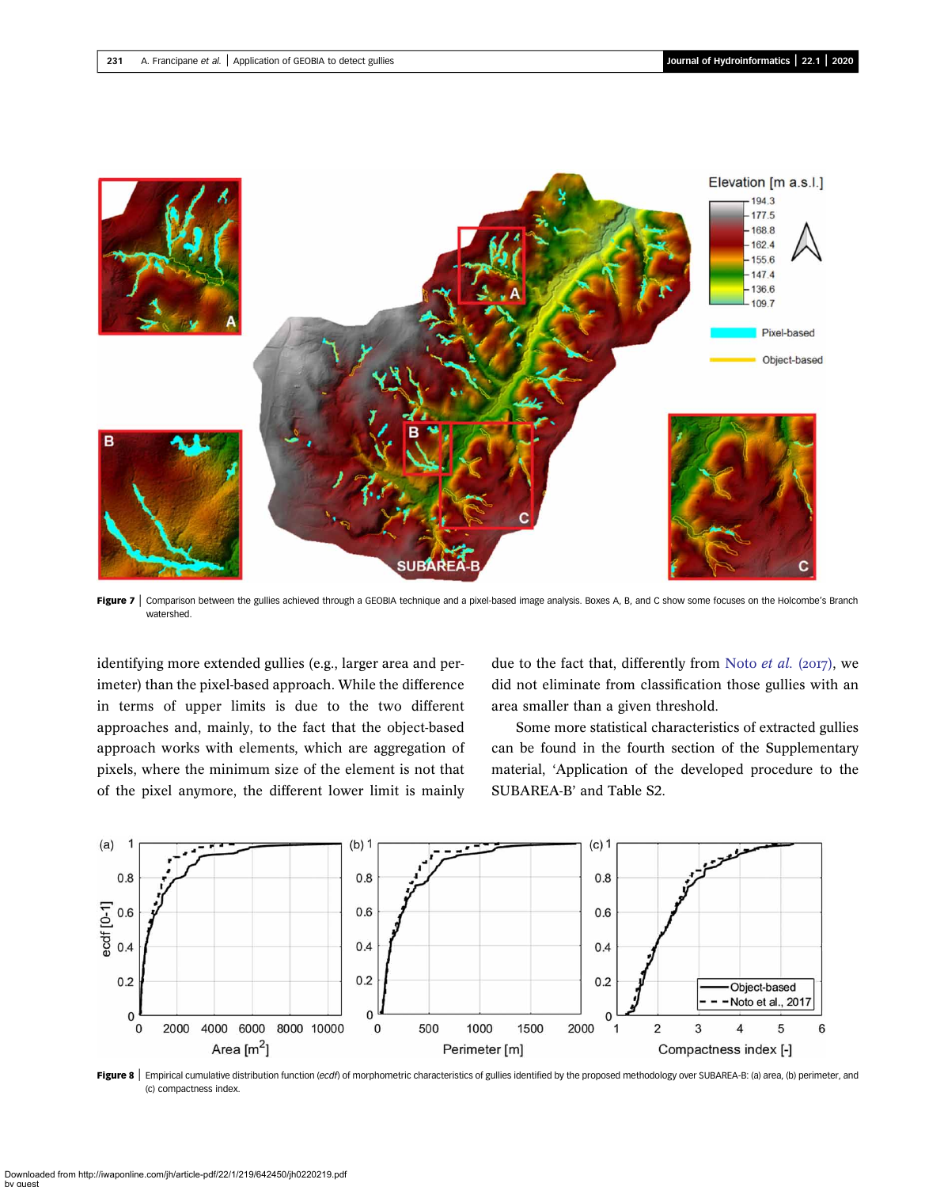<span id="page-12-0"></span>

Figure 7 | Comparison between the gullies achieved through a GEOBIA technique and a pixel-based image analysis. Boxes A, B, and C show some focuses on the Holcombe's Branch watershed.

identifying more extended gullies (e.g., larger area and perimeter) than the pixel-based approach. While the difference in terms of upper limits is due to the two different approaches and, mainly, to the fact that the object-based approach works with elements, which are aggregation of pixels, where the minimum size of the element is not that of the pixel anymore, the different lower limit is mainly

due to the fact that, differently from Noto *[et al.](#page-15-0)* (2017), we did not eliminate from classification those gullies with an area smaller than a given threshold.

Some more statistical characteristics of extracted gullies can be found in the fourth section of the Supplementary material, 'Application of the developed procedure to the SUBAREA-B' and Table S2.



Figure 8 | Empirical cumulative distribution function (ecdf) of morphometric characteristics of gullies identified by the proposed methodology over SUBAREA-B: (a) area, (b) perimeter, and (c) compactness index.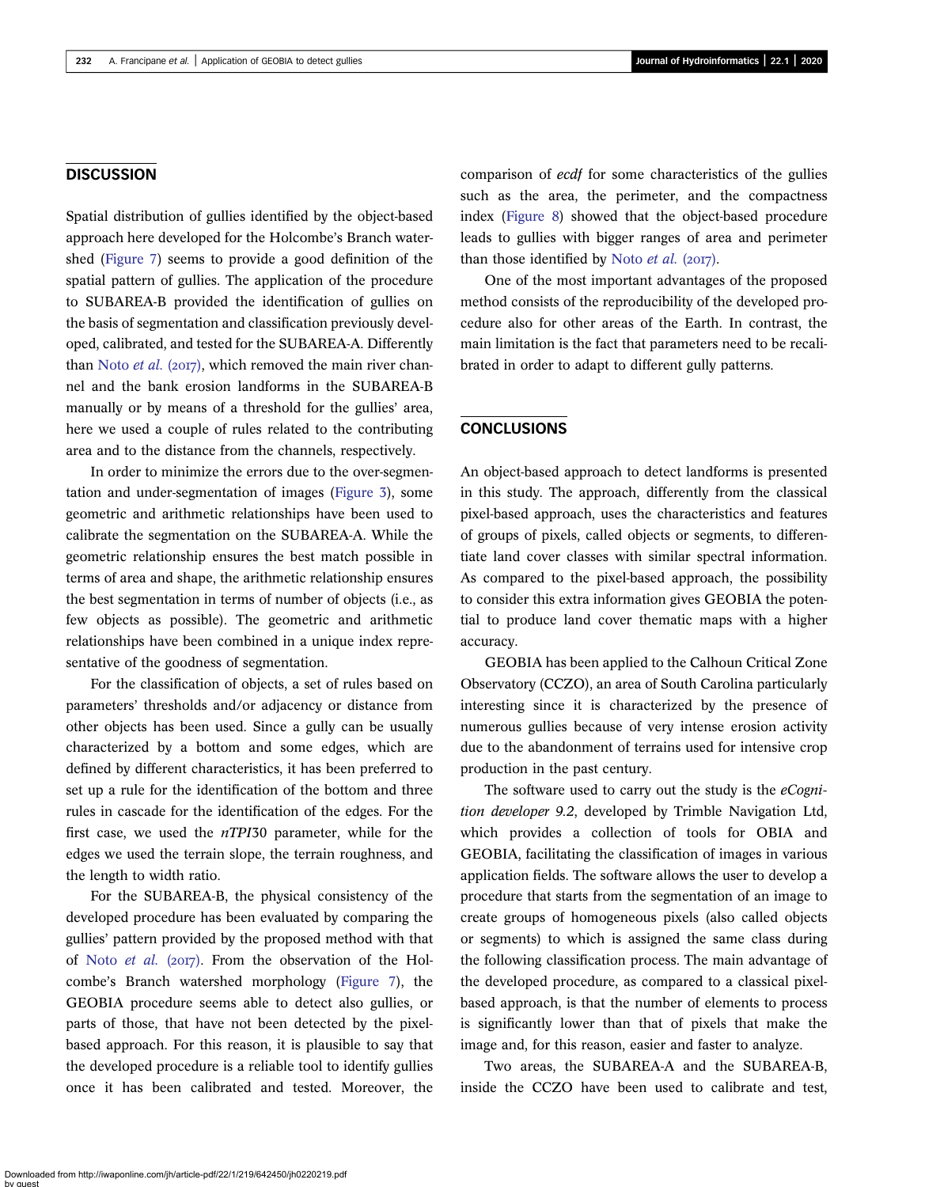## **DISCUSSION**

Spatial distribution of gullies identified by the object-based approach here developed for the Holcombe's Branch watershed [\(Figure 7\)](#page-12-0) seems to provide a good definition of the spatial pattern of gullies. The application of the procedure to SUBAREA-B provided the identification of gullies on the basis of segmentation and classification previously developed, calibrated, and tested for the SUBAREA-A. Differently than [Noto](#page-15-0) et al. (2017), which removed the main river channel and the bank erosion landforms in the SUBAREA-B manually or by means of a threshold for the gullies' area, here we used a couple of rules related to the contributing area and to the distance from the channels, respectively.

In order to minimize the errors due to the over-segmentation and under-segmentation of images ([Figure 3\)](#page-6-0), some geometric and arithmetic relationships have been used to calibrate the segmentation on the SUBAREA-A. While the geometric relationship ensures the best match possible in terms of area and shape, the arithmetic relationship ensures the best segmentation in terms of number of objects (i.e., as few objects as possible). The geometric and arithmetic relationships have been combined in a unique index representative of the goodness of segmentation.

For the classification of objects, a set of rules based on parameters' thresholds and/or adjacency or distance from other objects has been used. Since a gully can be usually characterized by a bottom and some edges, which are defined by different characteristics, it has been preferred to set up a rule for the identification of the bottom and three rules in cascade for the identification of the edges. For the first case, we used the nTPI30 parameter, while for the edges we used the terrain slope, the terrain roughness, and the length to width ratio.

For the SUBAREA-B, the physical consistency of the developed procedure has been evaluated by comparing the gullies' pattern provided by the proposed method with that of Noto [et al.](#page-15-0)  $(2017)$ . From the observation of the Holcombe's Branch watershed morphology [\(Figure 7](#page-12-0)), the GEOBIA procedure seems able to detect also gullies, or parts of those, that have not been detected by the pixelbased approach. For this reason, it is plausible to say that the developed procedure is a reliable tool to identify gullies once it has been calibrated and tested. Moreover, the comparison of ecdf for some characteristics of the gullies such as the area, the perimeter, and the compactness index [\(Figure 8\)](#page-12-0) showed that the object-based procedure leads to gullies with bigger ranges of area and perimeter than those identified by [Noto](#page-15-0)  $et$  al. (2017).

One of the most important advantages of the proposed method consists of the reproducibility of the developed procedure also for other areas of the Earth. In contrast, the main limitation is the fact that parameters need to be recalibrated in order to adapt to different gully patterns.

## **CONCLUSIONS**

An object-based approach to detect landforms is presented in this study. The approach, differently from the classical pixel-based approach, uses the characteristics and features of groups of pixels, called objects or segments, to differentiate land cover classes with similar spectral information. As compared to the pixel-based approach, the possibility to consider this extra information gives GEOBIA the potential to produce land cover thematic maps with a higher accuracy.

GEOBIA has been applied to the Calhoun Critical Zone Observatory (CCZO), an area of South Carolina particularly interesting since it is characterized by the presence of numerous gullies because of very intense erosion activity due to the abandonment of terrains used for intensive crop production in the past century.

The software used to carry out the study is the  $eCogni$ tion developer 9.2, developed by Trimble Navigation Ltd, which provides a collection of tools for OBIA and GEOBIA, facilitating the classification of images in various application fields. The software allows the user to develop a procedure that starts from the segmentation of an image to create groups of homogeneous pixels (also called objects or segments) to which is assigned the same class during the following classification process. The main advantage of the developed procedure, as compared to a classical pixelbased approach, is that the number of elements to process is significantly lower than that of pixels that make the image and, for this reason, easier and faster to analyze.

Two areas, the SUBAREA-A and the SUBAREA-B, inside the CCZO have been used to calibrate and test,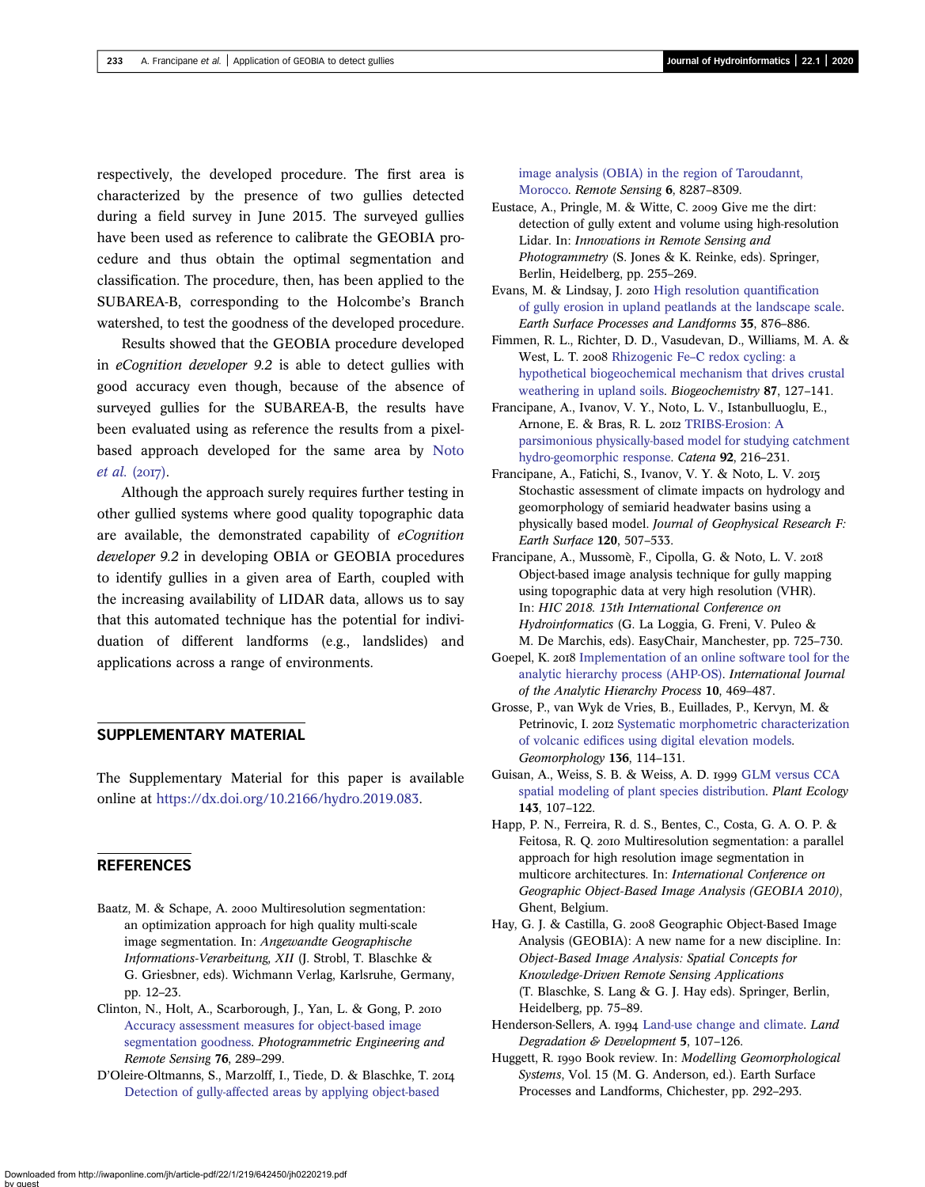<span id="page-14-0"></span>respectively, the developed procedure. The first area is characterized by the presence of two gullies detected during a field survey in June 2015. The surveyed gullies have been used as reference to calibrate the GEOBIA procedure and thus obtain the optimal segmentation and classification. The procedure, then, has been applied to the SUBAREA-B, corresponding to the Holcombe's Branch watershed, to test the goodness of the developed procedure.

Results showed that the GEOBIA procedure developed in eCognition developer 9.2 is able to detect gullies with good accuracy even though, because of the absence of surveyed gullies for the SUBAREA-B, the results have been evaluated using as reference the results from a pixelbased approach developed for the same area by [Noto](#page-15-0) [et al.](#page-15-0)  $(2017)$ .

Although the approach surely requires further testing in other gullied systems where good quality topographic data are available, the demonstrated capability of eCognition developer 9.2 in developing OBIA or GEOBIA procedures to identify gullies in a given area of Earth, coupled with the increasing availability of LIDAR data, allows us to say that this automated technique has the potential for individuation of different landforms (e.g., landslides) and applications across a range of environments.

### SUPPLEMENTARY MATERIAL

The Supplementary Material for this paper is available online at <https://dx.doi.org/10.2166/hydro.2019.083>.

#### REFERENCES

- Baatz, M. & Schape, A. 2000 Multiresolution segmentation: an optimization approach for high quality multi-scale image segmentation. In: Angewandte Geographische Informations-Verarbeitung, XII (J. Strobl, T. Blaschke & G. Griesbner, eds). Wichmann Verlag, Karlsruhe, Germany, pp. 12–23.
- Clinton, N., Holt, A., Scarborough, J., Yan, L. & Gong, P. [Accuracy assessment measures for object-based image](http://dx.doi.org/10.14358/PERS.76.3.289) [segmentation goodness.](http://dx.doi.org/10.14358/PERS.76.3.289) Photogrammetric Engineering and Remote Sensing 76, 289–299.
- D'Oleire-Oltmanns, S., Marzolff, I., Tiede, D. & Blaschke, T. [Detection of gully-affected areas by applying object-based](http://dx.doi.org/10.3390/rs6098287)

[image analysis \(OBIA\) in the region of Taroudannt,](http://dx.doi.org/10.3390/rs6098287) [Morocco](http://dx.doi.org/10.3390/rs6098287). Remote Sensing 6, 8287–8309.

- Eustace, A., Pringle, M. & Witte, C. 2009 Give me the dirt: detection of gully extent and volume using high-resolution Lidar. In: Innovations in Remote Sensing and Photogrammetry (S. Jones & K. Reinke, eds). Springer, Berlin, Heidelberg, pp. 255–269.
- Evans, M. & Lindsay, J. 2010 [High resolution quanti](http://dx.doi.org/10.1002/esp.1918)fication [of gully erosion in upland peatlands at the landscape scale.](http://dx.doi.org/10.1002/esp.1918) Earth Surface Processes and Landforms 35, 876–886.
- Fimmen, R. L., Richter, D. D., Vasudevan, D., Williams, M. A. & West, L. T. 2008 Rhizogenic Fe–[C redox cycling: a](http://dx.doi.org/10.1007/s10533-007-9172-5) [hypothetical biogeochemical mechanism that drives crustal](http://dx.doi.org/10.1007/s10533-007-9172-5) [weathering in upland soils.](http://dx.doi.org/10.1007/s10533-007-9172-5) Biogeochemistry 87, 127–141.
- Francipane, A., Ivanov, V. Y., Noto, L. V., Istanbulluoglu, E., Arnone, E. & Bras, R. L. 2012 [TRIBS-Erosion: A](http://dx.doi.org/10.1016/j.catena.2011.10.005) [parsimonious physically-based model for studying catchment](http://dx.doi.org/10.1016/j.catena.2011.10.005) [hydro-geomorphic response](http://dx.doi.org/10.1016/j.catena.2011.10.005). Catena 92, 216–231.
- Francipane, A., Fatichi, S., Ivanov, V. Y. & Noto, L. V. Stochastic assessment of climate impacts on hydrology and geomorphology of semiarid headwater basins using a physically based model. Journal of Geophysical Research F: Earth Surface 120, 507–533.
- Francipane, A., Mussomè, F., Cipolla, G. & Noto, L. V. Object-based image analysis technique for gully mapping using topographic data at very high resolution (VHR). In: HIC 2018. 13th International Conference on Hydroinformatics (G. La Loggia, G. Freni, V. Puleo & M. De Marchis, eds). EasyChair, Manchester, pp. 725–730.
- Goepel, K. 2018 [Implementation of an online software tool for the](http://dx.doi.org/10.13033/ijahp.v10i3.590) [analytic hierarchy process \(AHP-OS\)](http://dx.doi.org/10.13033/ijahp.v10i3.590). International Journal of the Analytic Hierarchy Process 10, 469–487.
- Grosse, P., van Wyk de Vries, B., Euillades, P., Kervyn, M. & Petrinovic, I. 2012 [Systematic morphometric characterization](http://dx.doi.org/10.1016/j.geomorph.2011.06.001) of volcanic edifi[ces using digital elevation models.](http://dx.doi.org/10.1016/j.geomorph.2011.06.001) Geomorphology 136, 114–131.
- Guisan, A., Weiss, S. B. & Weiss, A. D. 1999 [GLM versus CCA](http://dx.doi.org/10.1023/A:1009841519580) [spatial modeling of plant species distribution](http://dx.doi.org/10.1023/A:1009841519580). Plant Ecology 143, 107–122.
- Happ, P. N., Ferreira, R. d. S., Bentes, C., Costa, G. A. O. P. & Feitosa, R. Q. 2010 Multiresolution segmentation: a parallel approach for high resolution image segmentation in multicore architectures. In: International Conference on Geographic Object-Based Image Analysis (GEOBIA 2010), Ghent, Belgium.
- Hay, G. J. & Castilla, G. 2008 Geographic Object-Based Image Analysis (GEOBIA): A new name for a new discipline. In: Object-Based Image Analysis: Spatial Concepts for Knowledge-Driven Remote Sensing Applications (T. Blaschke, S. Lang & G. J. Hay eds). Springer, Berlin, Heidelberg, pp. 75–89.
- Henderson-Sellers, A. 1994 [Land-use change and climate.](http://dx.doi.org/10.1002/ldr.3400050207) Land Degradation & Development 5, 107–126.
- Huggett, R. 1990 Book review. In: Modelling Geomorphological Systems, Vol. 15 (M. G. Anderson, ed.). Earth Surface Processes and Landforms, Chichester, pp. 292–293.